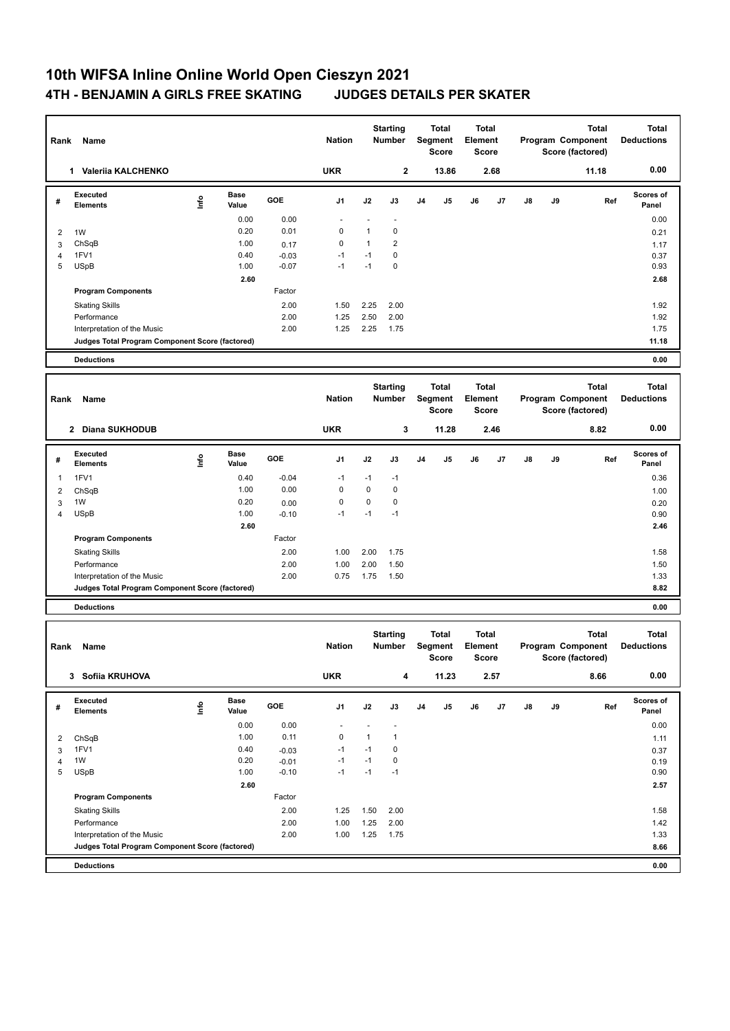## **10th WIFSA Inline Online World Open Cieszyn 2021 4TH - BENJAMIN A GIRLS FREE SKATING JUDGES DETAILS PER SKATER**

| Rank             | Name                                            |      | <b>Nation</b>        | <b>Starting</b><br>Number |                         | <b>Total</b><br>Segment<br><b>Score</b> |                                  | <b>Total</b><br>Element<br><b>Score</b> |       |                                         | Program Component<br>Score (factored) | <b>Total</b><br><b>Deductions</b>              |       |       |                                   |
|------------------|-------------------------------------------------|------|----------------------|---------------------------|-------------------------|-----------------------------------------|----------------------------------|-----------------------------------------|-------|-----------------------------------------|---------------------------------------|------------------------------------------------|-------|-------|-----------------------------------|
|                  | 1 Valeriia KALCHENKO                            |      |                      | <b>UKR</b>                | $\overline{\mathbf{2}}$ |                                         |                                  | 13.86                                   | 2.68  |                                         |                                       |                                                | 11.18 | 0.00  |                                   |
| #                | Executed<br><b>Elements</b>                     | lnfo | <b>Base</b><br>Value | GOE                       | J1                      | J2                                      | J3                               | J <sub>4</sub>                          | J5    | J6                                      | J7                                    | J8                                             | J9    | Ref   | <b>Scores of</b><br>Panel         |
|                  |                                                 |      | 0.00                 | 0.00                      | $\ddot{\phantom{1}}$    | $\ddot{\phantom{1}}$                    | $\overline{a}$                   |                                         |       |                                         |                                       |                                                |       |       | 0.00                              |
| 2                | 1W                                              |      | 0.20                 | 0.01                      | 0                       | $\mathbf{1}$                            | 0                                |                                         |       |                                         |                                       |                                                |       |       | 0.21                              |
| 3                | ChSqB                                           |      | 1.00                 | 0.17                      | 0                       | $\mathbf{1}$                            | $\overline{2}$                   |                                         |       |                                         |                                       |                                                |       |       | 1.17                              |
| 4                | 1FV1                                            |      | 0.40                 | $-0.03$                   | $-1$                    | $-1$                                    | 0                                |                                         |       |                                         |                                       |                                                |       |       | 0.37                              |
| 5                | <b>USpB</b>                                     |      | 1.00                 | $-0.07$                   | $-1$                    | $-1$                                    | 0                                |                                         |       |                                         |                                       |                                                |       |       | 0.93                              |
|                  |                                                 |      | 2.60                 |                           |                         |                                         |                                  |                                         |       |                                         |                                       |                                                |       |       | 2.68                              |
|                  | <b>Program Components</b>                       |      |                      | Factor                    |                         |                                         |                                  |                                         |       |                                         |                                       |                                                |       |       |                                   |
|                  | <b>Skating Skills</b>                           |      |                      | 2.00                      | 1.50                    | 2.25                                    | 2.00                             |                                         |       |                                         |                                       |                                                |       |       | 1.92                              |
|                  | Performance                                     |      |                      | 2.00                      | 1.25                    | 2.50                                    | 2.00                             |                                         |       |                                         |                                       |                                                |       |       | 1.92                              |
|                  | Interpretation of the Music                     |      |                      | 2.00                      | 1.25                    | 2.25                                    | 1.75                             |                                         |       |                                         |                                       |                                                |       |       | 1.75                              |
|                  | Judges Total Program Component Score (factored) |      |                      |                           |                         |                                         |                                  |                                         |       |                                         |                                       |                                                |       |       | 11.18                             |
|                  | <b>Deductions</b>                               |      |                      |                           |                         |                                         |                                  |                                         |       |                                         |                                       |                                                |       |       | 0.00                              |
|                  |                                                 |      |                      |                           |                         |                                         |                                  |                                         |       |                                         |                                       |                                                |       |       |                                   |
| Rank             | Name                                            |      |                      |                           | <b>Nation</b>           | <b>Starting</b><br><b>Number</b>        |                                  | <b>Total</b><br>Segment<br><b>Score</b> |       | <b>Total</b><br>Element<br><b>Score</b> |                                       | Total<br>Program Component<br>Score (factored) |       |       | Total<br><b>Deductions</b>        |
|                  | 2 Diana SUKHODUB                                |      |                      |                           | <b>UKR</b>              |                                         | 3                                |                                         | 11.28 |                                         | 2.46                                  |                                                |       | 8.82  | 0.00                              |
| #                | <b>Executed</b><br><b>Elements</b>              | lnfo | <b>Base</b><br>Value | GOE                       | J1                      | J2                                      | J3                               | J <sub>4</sub>                          | J5    | J6                                      | J7                                    | J8                                             | J9    | Ref   | Scores of<br>Panel                |
| 1                | 1FV1                                            |      | 0.40                 | $-0.04$                   | $-1$                    | $-1$                                    | $-1$                             |                                         |       |                                         |                                       |                                                |       |       | 0.36                              |
| $\overline{c}$   | ChSqB                                           |      | 1.00                 | 0.00                      | 0                       | 0                                       | $\pmb{0}$                        |                                         |       |                                         |                                       |                                                |       |       | 1.00                              |
| 3                | 1W                                              |      | 0.20                 | 0.00                      | $\mathbf 0$             | $\mathbf 0$                             | 0                                |                                         |       |                                         |                                       |                                                |       |       | 0.20                              |
| $\overline{4}$   | <b>USpB</b>                                     |      | 1.00                 | $-0.10$                   | $-1$                    | $-1$                                    | $-1$                             |                                         |       |                                         |                                       |                                                |       |       | 0.90                              |
|                  |                                                 |      | 2.60                 |                           |                         |                                         |                                  |                                         |       |                                         |                                       |                                                |       |       | 2.46                              |
|                  | <b>Program Components</b>                       |      |                      | Factor                    |                         |                                         |                                  |                                         |       |                                         |                                       |                                                |       |       |                                   |
|                  | <b>Skating Skills</b>                           |      |                      | 2.00                      | 1.00                    | 2.00                                    | 1.75                             |                                         |       |                                         |                                       |                                                |       |       | 1.58                              |
|                  | Performance                                     |      |                      | 2.00                      | 1.00                    | 2.00                                    | 1.50                             |                                         |       |                                         |                                       |                                                |       |       | 1.50                              |
|                  | Interpretation of the Music                     |      |                      | 2.00                      | 0.75                    | 1.75                                    | 1.50                             |                                         |       |                                         |                                       |                                                |       |       | 1.33                              |
|                  | Judges Total Program Component Score (factored) |      |                      |                           |                         |                                         |                                  |                                         |       |                                         |                                       |                                                |       |       | 8.82                              |
|                  | <b>Deductions</b>                               |      |                      |                           |                         |                                         |                                  |                                         |       |                                         |                                       |                                                |       |       | 0.00                              |
|                  |                                                 |      |                      |                           |                         |                                         |                                  |                                         |       |                                         |                                       |                                                |       |       |                                   |
| Rank<br>Name     |                                                 |      |                      |                           | <b>Nation</b>           |                                         | <b>Starting</b><br><b>Number</b> | <b>Total</b><br>Segment<br><b>Score</b> |       | <b>Total</b><br>Element<br><b>Score</b> |                                       | Program Component<br>Score (factored)          |       | Total | <b>Total</b><br><b>Deductions</b> |
| 3 Sofiia KRUHOVA |                                                 |      |                      |                           | <b>UKR</b>              |                                         | 4                                | 11.23                                   |       | 2.57                                    |                                       |                                                |       | 8.66  | 0.00                              |
| #                | Executed<br>Elements                            | ١nf٥ | <b>Base</b><br>Value | GOE                       | J1                      | J2                                      | J3                               | J <sub>4</sub>                          | J5    | J6                                      | J7                                    | $\mathsf{J}8$                                  | J9    | Ref   | Scores of<br>Panel                |
|                  |                                                 |      | 0.00                 | 0.00                      | $\sim$                  | $\blacksquare$                          | $\ddot{\phantom{1}}$             |                                         |       |                                         |                                       |                                                |       |       | 0.00                              |
| 2                | ChSqB                                           |      | 1.00                 | 0.11                      | 0                       | $\mathbf{1}$                            | $\mathbf{1}$                     |                                         |       |                                         |                                       |                                                |       |       | 1.11                              |
| 3                | 1FV1                                            |      | 0.40                 | $-0.03$                   | $-1$                    | $-1$                                    | $\pmb{0}$                        |                                         |       |                                         |                                       |                                                |       |       | 0.37                              |
| 4                | 1W                                              |      | 0.20                 | $-0.01$                   | $-1$                    | $-1$                                    | $\pmb{0}$                        |                                         |       |                                         |                                       |                                                |       |       | 0.19                              |
| 5                | <b>USpB</b>                                     |      | 1.00                 | $-0.10$                   | $-1$                    | $-1$                                    | $-1$                             |                                         |       |                                         |                                       |                                                |       |       | 0.90                              |
|                  |                                                 |      | 2.60                 |                           |                         |                                         |                                  |                                         |       |                                         |                                       |                                                |       |       | 2.57                              |
|                  | <b>Program Components</b>                       |      |                      | Factor                    |                         |                                         |                                  |                                         |       |                                         |                                       |                                                |       |       |                                   |
|                  | <b>Skating Skills</b>                           |      |                      | 2.00                      | 1.25                    | 1.50                                    | 2.00                             |                                         |       |                                         |                                       |                                                |       |       | 1.58                              |
|                  | Performance                                     |      |                      | 2.00                      | 1.00                    | 1.25                                    | 2.00                             |                                         |       |                                         |                                       |                                                |       |       | 1.42                              |
|                  | Interpretation of the Music                     |      |                      | 2.00                      | 1.00                    | 1.25                                    | 1.75                             |                                         |       |                                         |                                       |                                                |       |       | 1.33                              |
|                  | Judges Total Program Component Score (factored) |      |                      |                           |                         |                                         |                                  |                                         |       |                                         |                                       |                                                |       |       | 8.66                              |
|                  | <b>Deductions</b>                               |      |                      |                           |                         |                                         |                                  |                                         |       |                                         |                                       |                                                |       |       | 0.00                              |